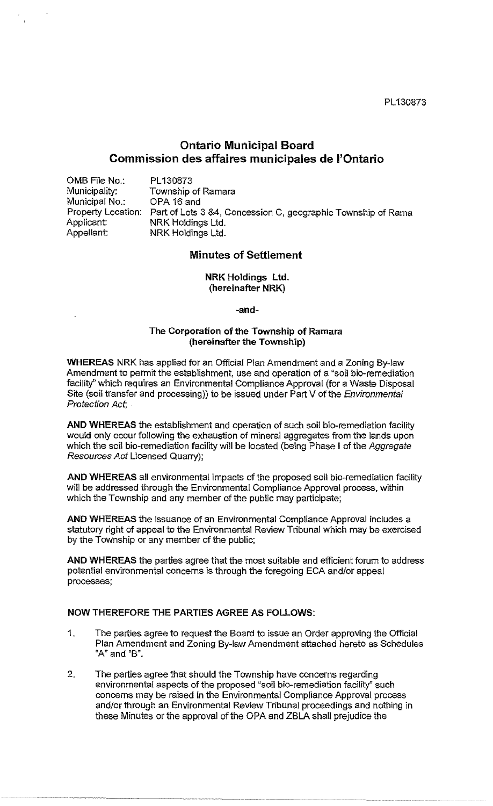PL130873

# **Ontario Municipal Board Commission des affaires municipales de l'Ontario**

OMB File No.: Municipality: Municipal No.: Applicant:<br>Appellant:

PL130873 Township of Ramara OPA 16 and Property Location: Part of Lots 3 &4, Concession C, geographic Township of Rama NRK Holdings Ltd. NRK Holdings Ltd.

# **Minutes of Settlement**

# **NRK Holdings Ltd. (hereinafter NRK)**

**-and-**

# **The Corporation of the Township of Ramara (hereinafter the Township)**

**WHEREAS** NRK has applied for an Official Plan Amendment and a Zoning By-law Amendment to permit the establishment, use and operation of a "soil bio-remediation facility" which requires an Environmental Compliance Approval (for a Waste Disposal Site (soil transfer and processing)) to be issued under Part V of the Environmental Protection Act,

**AND WHEREAS** the establishment and operation of such soil bio-remediation facility would only occur following the exhaustion of mineral aggregates from the lands upon which the soil bio-remediation facility will be located (being Phase I of the Aggregate Resources Act Licensed Quarry);

**AND WHEREAS** all environmental impacts of the proposed soil bio-remediation facility will be addressed through the Environmental Compliance Approval process, within Which the Township and any member of the public may participate;

**AND WHEREAS** the issuance of an Environmental Compliance Approval includes a statutory right of appeal to the Environmental Review Tribunal which may be exercised by the Township or any member of the public;

**AND WHEREAS** the parties agree that the most suitable and efficient forum to address potential environmental concerns is through the foregoing ECA and/or appeal processes;

#### **NOW THEREFORE** THE **PARTIES AGREE AS FOLLOWS:**

- 1. The parties agree to request the Board to issue an Order approving the Official Plan Amendment and Zoning By-law Amendment attached hereto as Schedules **"A"** and **"B".**
- 2. The parties agree that should the Township have concerns regarding environmental aspects of the proposed "soil bio-remediation facility" such concerns may be raised in the Environmental Compliance Approval process and/or through an Environmental Review Tribunal proceedings and nothing in these Minutes or the approval of the OPA and ZBLA shall prejudice the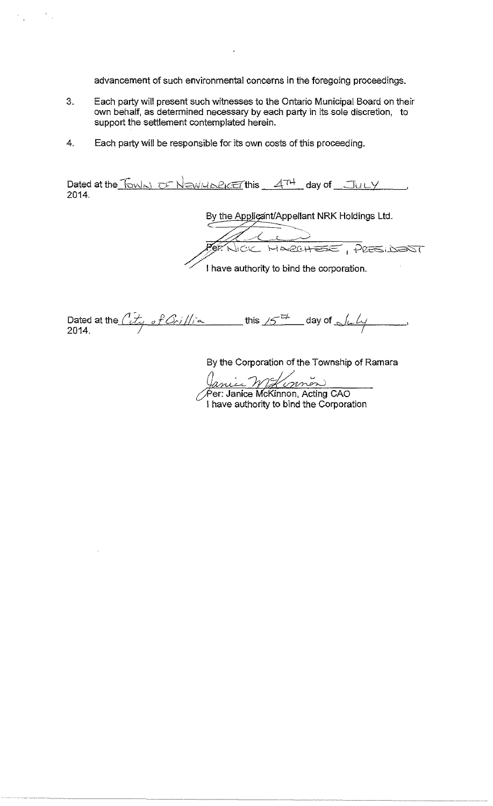advancement of such environmental concerns in the foregoing proceedings.

- 3. Each party will present such witnesses to the Ontario Municipal Board on their own behalf, as determined necessary by each party in its sole discretion, to support the settlement contemplated herein.
- 4. Each party will be responsible for its own costs of this proceeding.

 $\frac{1}{2}$ 

 $\frac{d\mathbf{r}}{d\mathbf{r}} = \frac{1}{2} \left[ \frac{d\mathbf{r}}{d\mathbf{r}} \right] \mathbf{r} \cdot \mathbf{r}$ 

Dated at the Fowled OF NEWMARKET this 4TH day of JULY 2014.

> By the Applicant/Appellant NRK Holdings Ltd.  $\overbrace{C\subset C\subset C\sim C\sim}\overbrace{C\subset C\subset C\sim}\overbrace{C\subset C\subset C\sim}\overbrace{C\subset C\subset C\sim}\overbrace{C\subset C\subset C\sim}\overbrace{C\subset C\sim}\overbrace{C\subset C\sim}\overbrace{C\subset C\sim}\overbrace{C\subset C\sim}\overbrace{C\subset C\sim}\overbrace{C\subset C\sim}\overbrace{C\subset C\sim}\overbrace{C\subset C\sim}\overbrace{C\subset C\sim}\overbrace{C\subset C\sim}\overbrace{C\subset C\sim}\overbrace{C\subset C\sim}\overbrace{C\subset C\sim}\overbrace{C\subset C\sim}\overbrace{C\subset C\sim}\over$ I have authority to bind the corporation.

Dated at the  $\frac{\partial L}{\partial s}$  of  $\frac{\partial r}{\partial t}$ ,  $\frac{1}{s}$  this  $15^{-\frac{1}{2}}$  day of  $\frac{1}{s}$   $\frac{1}{s}$ 

------------

By the Corporation of the Township of Ramara

(*Janier Williamon*)<br>Per: Janice McKinnon, Acting CAO

I have authority to bind the Corporation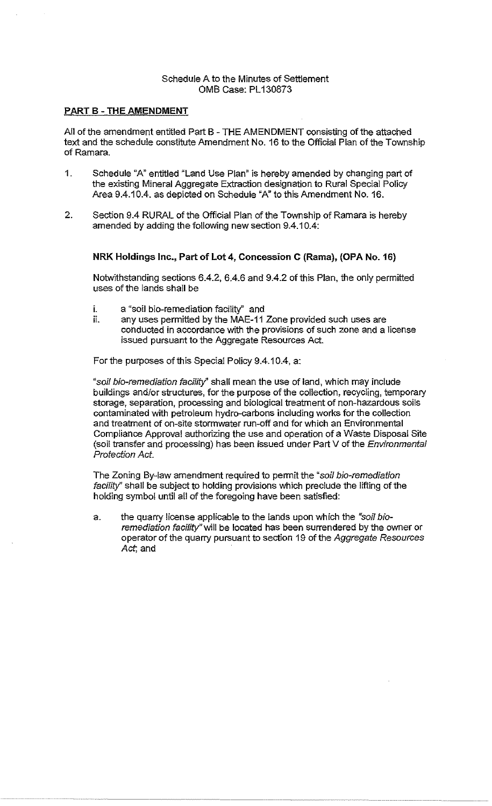# Schedule A to the Minutes of Settlement OMS Case: PL 130873

# PART B - THE AMENDMENT

All of the amendment entitled Part S - THE AMENDMENT consisting of the attached text and the schedule constitute Amendment No. 16 to the Official Plan of the Township of Ramara.

- 1. Schedule "A" entitled "Land Use Plan" is hereby amended by changing part of the existing Mineral Aggregate Extraction designation to Rural Special Policy Area 9.4.10.4. as depicted on Schedule "A" to this Amendment No. 16.
- 2. Section 9.4 RURAL of the Official Plan of the Township of Ramara is hereby amended by adding the following new section 9.4.10.4:

# NRK Holdings Inc., Part of Lot 4, Concession C (Rama), (OPA No. 16)

Notwithstanding sections 6.4.2, 6.4.6 and 9.4.2 of this Plan, the only permitted uses of the lands shall be

- i. a "soil bio-remediation facility" and
- ii. any uses permitted by the MAE-11 Zone provided such uses are conducted in accordance with the provisions of such zone and a license issued pursuant to the Aggregate Resources Act.

For the purposes of this Special Policy 9.4.10.4, a:

"soil bio-remediation facility" shall mean the use of land, which may include buildings and/or structures, for the purpose of the collection, recycling, temporary storage, separation, processing and biological treatment of non-hazardous soils contaminated with petroleum hydro-carbons including works for the collection and treatment of on-site stormwater run-off and for which an Environmental Compliance Approval authorizing the use and operation of a Waste Disposal Site (soil transfer and processing) has been issued under Part V of the Environmental Protection Act.

The Zoning By-law amendment required to permit the "soil bio-remediation facility" shall be subject to holding provisions which preclude the lifting of the holding symbol until all of the foregoing have been satisfied:

a. the quarry license applicable to the lands upon which the "soil bioremediation facility" will be located has been surrendered by the owner or operator of the quarry pursuant to section 19 of the Aggregate Resources Act, and

.~~~ ................. .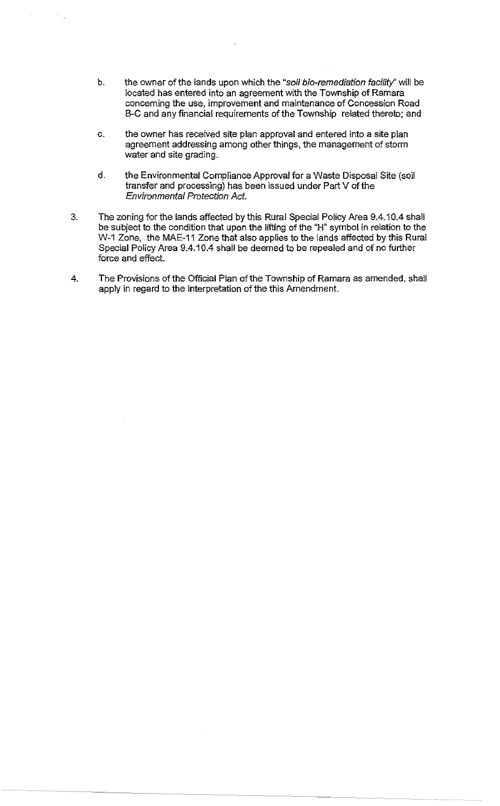- b. the owner of the lands upon which the "soil bio-remediation facility" will be located has entered into an agreement with the Township of Ramara conceming the use, improvement and maintenance of Concession Road B-C and any financial requirements of the Township related thereto; and
- c. the owner has received site plan approval and entered into a site plan agreement addressing among other things, the management of storm water and site grading.
- d. the Environmental Compliance Approval for a Waste Disposal Site (soil transfer and processing) has been issued under Part V of the Environmental Protection Act.
- 3. The zoning for the lands affected by this Rural Special Policy Area 9.4.10.4 shall be subject to the condition that upon the lifting of the "H" symbol in relation to the W-1 Zone, the MAE-11 Zone that also applies to the lands affected by this Rural Special Policy Area 9.4.10.4 shall be deemed to be repealed and of no further force and effect.
- 4. The Provisions of the Official Plan of the Township of Ramara as amended, shall apply in regard to the interpretation of the this Amendment.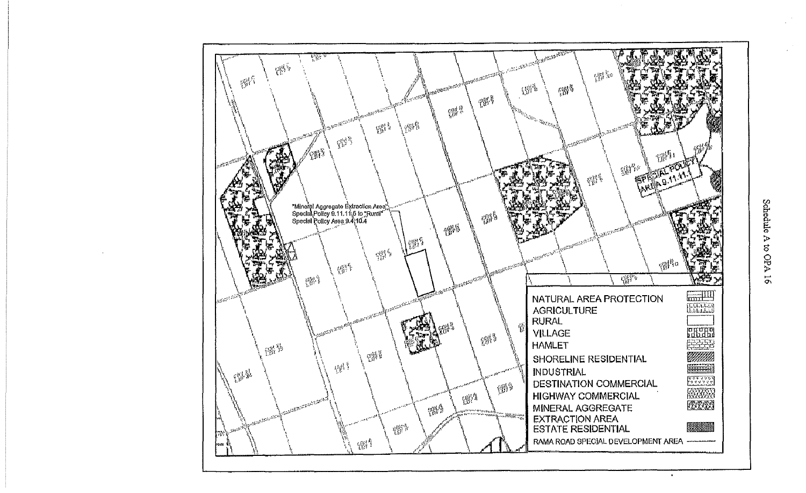

 $\bullet$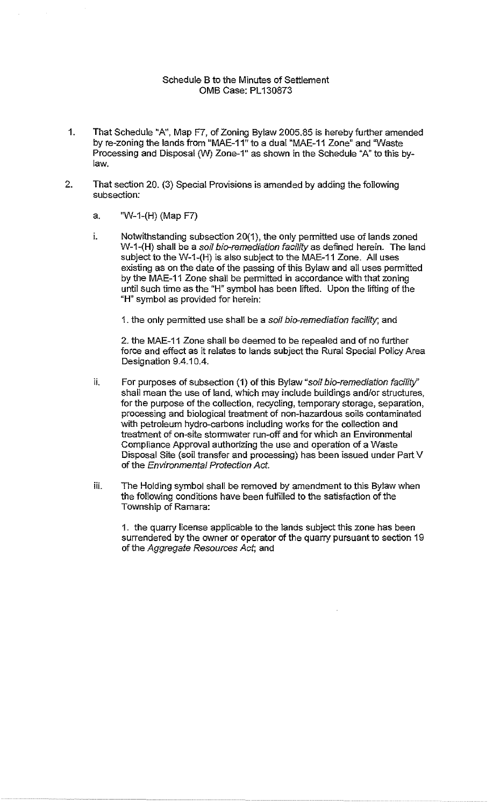# Schedule B to the Minutes of Settlement OMB Case: PL 130873

- 1. That Schedule "A", Map F7, of Zoning Bylaw 2005.85 is hereby further amended by re-zoning the lands from "MAE-11" to a dual "MAE-11 Zone" and 'Waste Processing and Disposal (W) Zone-1" as shown in the Schedule "A" to this bylaw.
- 2. That section 20. (3) Special Provisions is amended by adding the following subsection:
	- a. 'W-1-(H) (Map F7)
	- i. Notwithstanding subsection  $20(1)$ , the only permitted use of lands zoned W-1-(H) shall be a soil bio-remediation facility as defined herein. The land subject to the W-1-(H} is also subject to the MAE-11 Zone. All uses existing as on the date of the passing of this Bylaw and all uses permitted by the MAE-11 Zone shall be permitted in accordance with that zoning until such time as the "H" symbol has been lifted. Upon the lifting of the "H" symbol as provided for herein:
		- 1. the only permitted use shall be a soil bio-remediation facility; and

2. the MAE-11 Zone shall be deemed to be repealed and of no further force and effect as it relates to lands subject the Rural Special Policy Area Designation 9.4.10.4.

- ii. For purposes of subsection  $(1)$  of this Bylaw "soil bio-remediation facility" shall mean the use of land, which may include buildings and/or structures, for the purpose of the collection, recycling, temporary storage, separation, processing and biological treatment of non-hazardous soils contaminated with petroleum hydro-carbons including works for the collection and treatment of on-site stormwater run-off and for which an Environmental Compliance Approval authorizing the use and operation of a Waste Disposal Site (soil transfer and processing) has been issued under Part V of the Environmental Protection Act.
- iii. The Holding symbol shall be removed by amendment to this Bylaw when the following conditions have been fulfilled to the satisfaction of the Township of Ramara:

1. the quarry license applicable to the lands subject this zone has been surrendered by the owner or operator of the quarry pursuant to section 19 of the Aggregate Resources Act, and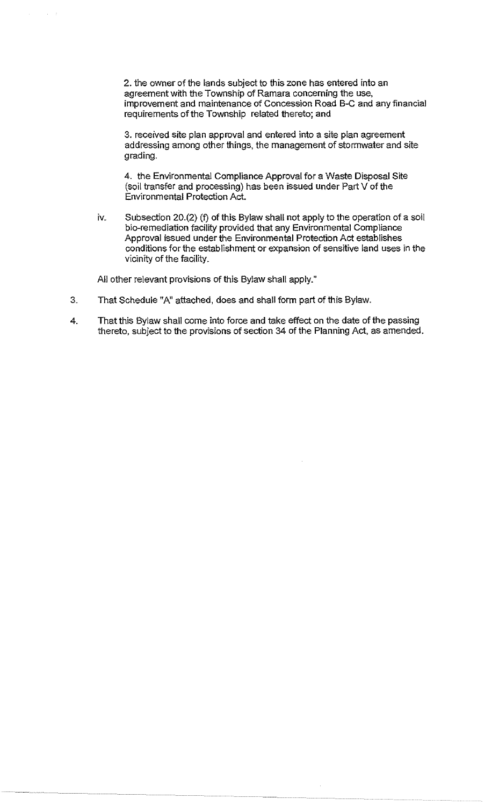2. the owner of the lands subject to this zone has entered into an agreement with the Township of Ramara concerning the use, improvement and maintenance of Concession Road B-C and any financial requirements of the Township related thereto; and

3. received site plan approval and entered into a site plan agreement addressing among other things, the management of stormwater and site grading.

4. the Environmental Compliance Approval for a Waste Disposal Site (soil transfer and processing) has been issued under Part V of the Environmental Protection Act.

iv. Subsection 20.(2) (f) of this Bylaw shall not apply to the operation of a soil bio-remediation facility provided that any Environmental Compliance Approval issued under the Environmental Protection Act establishes conditions for the establishment or expansion of sensitive land uses in the vicinity of the facility.

All other relevant provisions of this Bylaw shall apply."

- 3. That Schedule "A" attached, does and shall form part of this Bylaw.
- 4. That this Bylaw shall come into force and take effect on the date of the passing thereto, subject to the provisions of section 34 of the Planning Act, as amended.